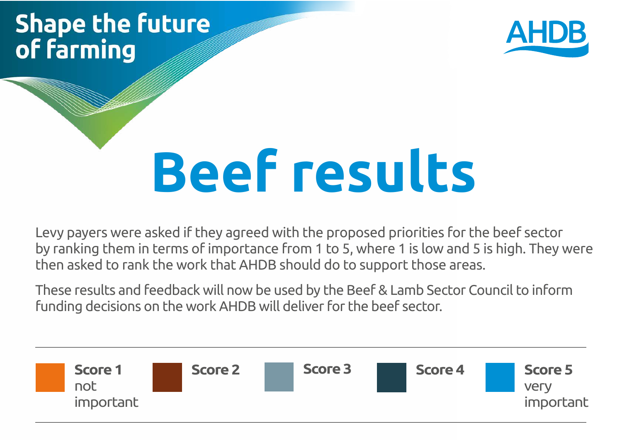# **Shape the future** of farming



# **Beef results**

Levy payers were asked if they agreed with the proposed priorities for the beef sector by ranking them in terms of importance from 1 to 5, where 1 is low and 5 is high. They were then asked to rank the work that AHDB should do to support those areas.

These results and feedback will now be used by the Beef & Lamb Sector Council to inform funding decisions on the work AHDB will deliver for the beef sector.

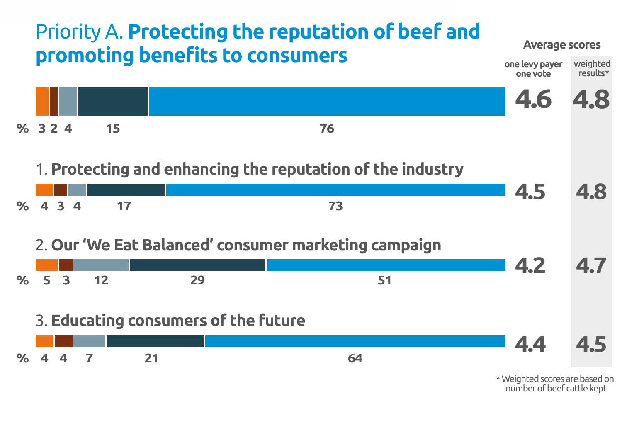

\* Weighted scores are based on number of beef cattle kept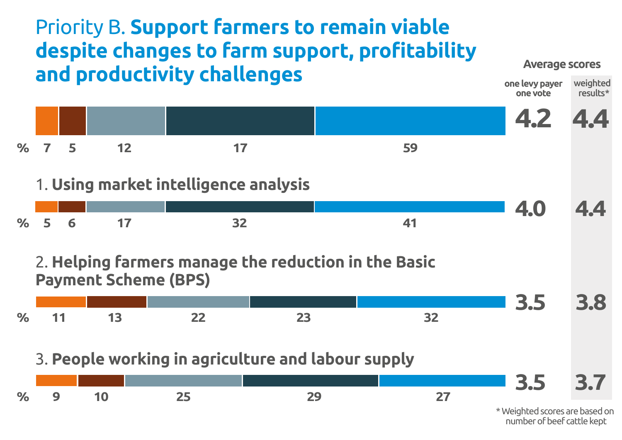# Priority B. **Support farmers to remain viable despite changes to farm support, profitability and productivity challenges**

#### **Average scores**



number of beef cattle kept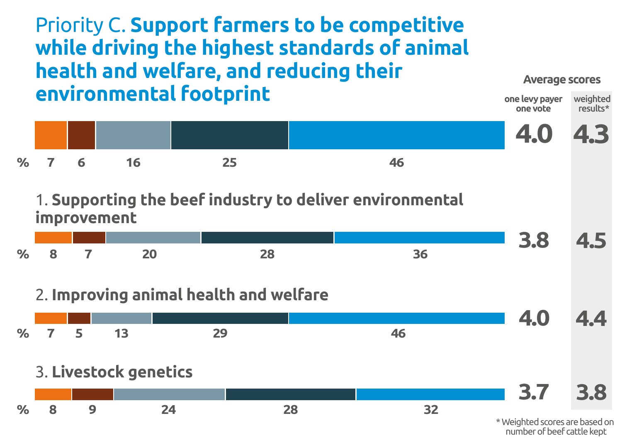### Priority C. **Support farmers to be competitive while driving the highest standards of animal health and welfare, and reducing their environmental footprint**



#### 1. **Supporting the beef industry to deliver environmental improvement**



#### 2. **Improving animal health and welfare**



# 3. **Livestock genetics**

**% 8 9 24 28 32**

\* Weighted scores are based on number of beef cattle kept

**3.7 3.8**

**onelevy payer**

**Average scores**

weighted